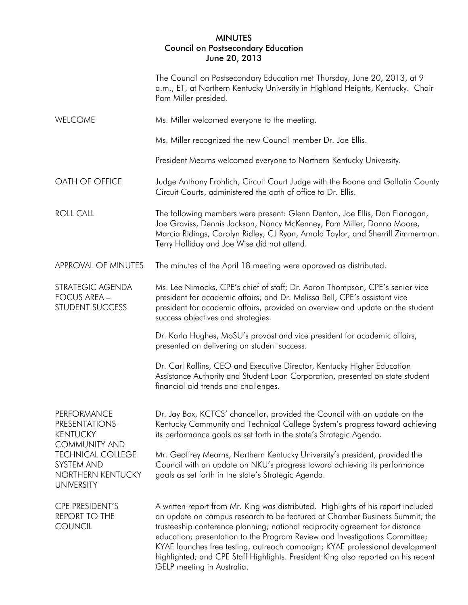## MINUTES Council on Postsecondary Education June 20, 2013

|                                                                                                                                                                      | The Council on Postsecondary Education met Thursday, June 20, 2013, at 9<br>a.m., ET, at Northern Kentucky University in Highland Heights, Kentucky. Chair<br>Pam Miller presided.                                                                                                                                                                                                                                                                                                                                                 |
|----------------------------------------------------------------------------------------------------------------------------------------------------------------------|------------------------------------------------------------------------------------------------------------------------------------------------------------------------------------------------------------------------------------------------------------------------------------------------------------------------------------------------------------------------------------------------------------------------------------------------------------------------------------------------------------------------------------|
| <b>WELCOME</b>                                                                                                                                                       | Ms. Miller welcomed everyone to the meeting.                                                                                                                                                                                                                                                                                                                                                                                                                                                                                       |
|                                                                                                                                                                      | Ms. Miller recognized the new Council member Dr. Joe Ellis.                                                                                                                                                                                                                                                                                                                                                                                                                                                                        |
|                                                                                                                                                                      | President Mearns welcomed everyone to Northern Kentucky University.                                                                                                                                                                                                                                                                                                                                                                                                                                                                |
| OATH OF OFFICE                                                                                                                                                       | Judge Anthony Frohlich, Circuit Court Judge with the Boone and Gallatin County<br>Circuit Courts, administered the oath of office to Dr. Ellis.                                                                                                                                                                                                                                                                                                                                                                                    |
| <b>ROLL CALL</b>                                                                                                                                                     | The following members were present: Glenn Denton, Joe Ellis, Dan Flanagan,<br>Joe Graviss, Dennis Jackson, Nancy McKenney, Pam Miller, Donna Moore,<br>Marcia Ridings, Carolyn Ridley, CJ Ryan, Arnold Taylor, and Sherrill Zimmerman.<br>Terry Holliday and Joe Wise did not attend.                                                                                                                                                                                                                                              |
| APPROVAL OF MINUTES                                                                                                                                                  | The minutes of the April 18 meeting were approved as distributed.                                                                                                                                                                                                                                                                                                                                                                                                                                                                  |
| STRATEGIC AGENDA<br><b>FOCUS AREA -</b><br>STUDENT SUCCESS                                                                                                           | Ms. Lee Nimocks, CPE's chief of staff; Dr. Aaron Thompson, CPE's senior vice<br>president for academic affairs; and Dr. Melissa Bell, CPE's assistant vice<br>president for academic affairs, provided an overview and update on the student<br>success objectives and strategies.                                                                                                                                                                                                                                                 |
|                                                                                                                                                                      | Dr. Karla Hughes, MoSU's provost and vice president for academic affairs,<br>presented on delivering on student success.                                                                                                                                                                                                                                                                                                                                                                                                           |
|                                                                                                                                                                      | Dr. Carl Rollins, CEO and Executive Director, Kentucky Higher Education<br>Assistance Authority and Student Loan Corporation, presented on state student<br>financial aid trends and challenges.                                                                                                                                                                                                                                                                                                                                   |
| PERFORMANCE<br><b>PRESENTATIONS -</b><br><b>KENTUCKY</b><br><b>COMMUNITY AND</b><br><b>TECHNICAL COLLEGE</b><br>SYSTEM AND<br>NORTHERN KENTUCKY<br><b>UNIVERSITY</b> | Dr. Jay Box, KCTCS' chancellor, provided the Council with an update on the<br>Kentucky Community and Technical College System's progress toward achieving<br>its performance goals as set forth in the state's Strategic Agenda.                                                                                                                                                                                                                                                                                                   |
|                                                                                                                                                                      | Mr. Geoffrey Mearns, Northern Kentucky University's president, provided the<br>Council with an update on NKU's progress toward achieving its performance<br>goals as set forth in the state's Strategic Agenda.                                                                                                                                                                                                                                                                                                                    |
| CPE PRESIDENT'S<br><b>REPORT TO THE</b><br><b>COUNCIL</b>                                                                                                            | A written report from Mr. King was distributed. Highlights of his report included<br>an update on campus research to be featured at Chamber Business Summit; the<br>trusteeship conference planning; national reciprocity agreement for distance<br>education; presentation to the Program Review and Investigations Committee;<br>KYAE launches free testing, outreach campaign; KYAE professional development<br>highlighted; and CPE Staff Highlights. President King also reported on his recent<br>GELP meeting in Australia. |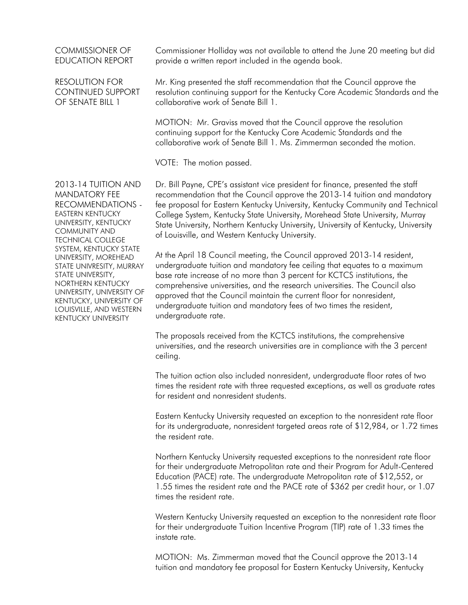## COMMISSIONER OF EDUCATION REPORT

RESOLUTION FOR CONTINUED SUPPORT OF SENATE BILL 1

Commissioner Holliday was not available to attend the June 20 meeting but did provide a written report included in the agenda book.

Mr. King presented the staff recommendation that the Council approve the resolution continuing support for the Kentucky Core Academic Standards and the collaborative work of Senate Bill 1.

MOTION: Mr. Graviss moved that the Council approve the resolution continuing support for the Kentucky Core Academic Standards and the collaborative work of Senate Bill 1. Ms. Zimmerman seconded the motion.

VOTE: The motion passed.

2013-14 TUITION AND MANDATORY FEE RECOMMENDATIONS - EASTERN KENTUCKY UNIVERSITY, KENTUCKY COMMUNITY AND TECHNICAL COLLEGE SYSTEM, KENTUCKY STATE UNIVERSITY, MOREHEAD STATE UNIVRESITY, MURRAY STATE UNIVERSITY, NORTHERN KENTUCKY UNIVERSITY, UNIVERSITY OF KENTUCKY, UNIVERSITY OF LOUISVILLE, AND WESTERN KENTUCKY UNIVERSITY

Dr. Bill Payne, CPE's assistant vice president for finance, presented the staff recommendation that the Council approve the 2013-14 tuition and mandatory fee proposal for Eastern Kentucky University, Kentucky Community and Technical College System, Kentucky State University, Morehead State University, Murray State University, Northern Kentucky University, University of Kentucky, University of Louisville, and Western Kentucky University.

At the April 18 Council meeting, the Council approved 2013-14 resident, undergraduate tuition and mandatory fee ceiling that equates to a maximum base rate increase of no more than 3 percent for KCTCS institutions, the comprehensive universities, and the research universities. The Council also approved that the Council maintain the current floor for nonresident, undergraduate tuition and mandatory fees of two times the resident, undergraduate rate.

The proposals received from the KCTCS institutions, the comprehensive universities, and the research universities are in compliance with the 3 percent ceiling.

The tuition action also included nonresident, undergraduate floor rates of two times the resident rate with three requested exceptions, as well as graduate rates for resident and nonresident students.

Eastern Kentucky University requested an exception to the nonresident rate floor for its undergraduate, nonresident targeted areas rate of \$12,984, or 1.72 times the resident rate.

Northern Kentucky University requested exceptions to the nonresident rate floor for their undergraduate Metropolitan rate and their Program for Adult-Centered Education (PACE) rate. The undergraduate Metropolitan rate of \$12,552, or 1.55 times the resident rate and the PACE rate of \$362 per credit hour, or 1.07 times the resident rate.

Western Kentucky University requested an exception to the nonresident rate floor for their undergraduate Tuition Incentive Program (TIP) rate of 1.33 times the instate rate.

MOTION: Ms. Zimmerman moved that the Council approve the 2013-14 tuition and mandatory fee proposal for Eastern Kentucky University, Kentucky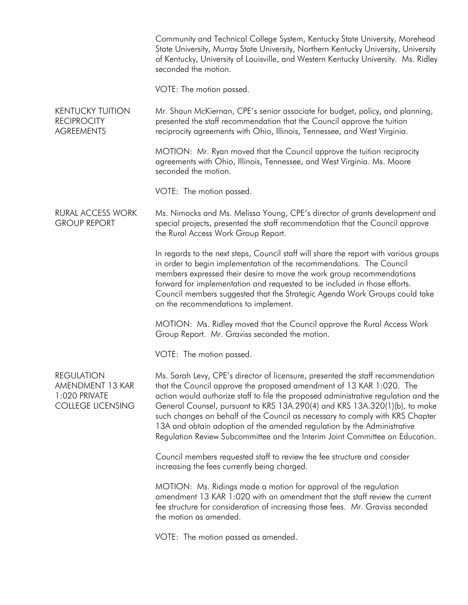|                                                                                    | Community and Technical College System, Kentucky State University, Morehead<br>State University, Murray State University, Northern Kentucky University, University<br>of Kentucky, University of Louisville, and Western Kentucky University. Ms. Ridley<br>seconded the motion.                                                                                                                                                                                                                                                                                         |
|------------------------------------------------------------------------------------|--------------------------------------------------------------------------------------------------------------------------------------------------------------------------------------------------------------------------------------------------------------------------------------------------------------------------------------------------------------------------------------------------------------------------------------------------------------------------------------------------------------------------------------------------------------------------|
|                                                                                    | VOTE: The motion passed.                                                                                                                                                                                                                                                                                                                                                                                                                                                                                                                                                 |
| <b>KENTUCKY TUITION</b><br><b>RECIPROCITY</b><br><b>AGREEMENTS</b>                 | Mr. Shaun McKiernan, CPE's senior associate for budget, policy, and planning,<br>presented the staff recommendation that the Council approve the tuition<br>reciprocity agreements with Ohio, Illinois, Tennessee, and West Virginia.                                                                                                                                                                                                                                                                                                                                    |
|                                                                                    | MOTION: Mr. Ryan moved that the Council approve the tuition reciprocity<br>agreements with Ohio, Illinois, Tennessee, and West Virginia. Ms. Moore<br>seconded the motion.                                                                                                                                                                                                                                                                                                                                                                                               |
|                                                                                    | VOTE: The motion passed.                                                                                                                                                                                                                                                                                                                                                                                                                                                                                                                                                 |
| <b>RURAL ACCESS WORK</b><br><b>GROUP REPORT</b>                                    | Ms. Nimocks and Ms. Melissa Young, CPE's director of grants development and<br>special projects, presented the staff recommendation that the Council approve<br>the Rural Access Work Group Report.                                                                                                                                                                                                                                                                                                                                                                      |
|                                                                                    | In regards to the next steps, Council staff will share the report with various groups<br>in order to begin implementation of the recommendations. The Council<br>members expressed their desire to move the work group recommendations<br>forward for implementation and requested to be included in those efforts.<br>Council members suggested that the Strategic Agenda Work Groups could take<br>on the recommendations to implement.                                                                                                                                |
|                                                                                    | MOTION: Ms. Ridley moved that the Council approve the Rural Access Work<br>Group Report. Mr. Graviss seconded the motion.                                                                                                                                                                                                                                                                                                                                                                                                                                                |
|                                                                                    | VOTE: The motion passed.                                                                                                                                                                                                                                                                                                                                                                                                                                                                                                                                                 |
| <b>REGULATION</b><br>AMENDMENT 13 KAR<br>1:020 PRIVATE<br><b>COLLEGE LICENSING</b> | Ms. Sarah Levy, CPE's director of licensure, presented the staff recommendation<br>that the Council approve the proposed amendment of 13 KAR 1:020. The<br>action would authorize staff to file the proposed administrative regulation and the<br>General Counsel, pursuant to KRS 13A.290(4) and KRS 13A.320(1)(b), to make<br>such changes on behalf of the Council as necessary to comply with KRS Chapter<br>13A and obtain adoption of the amended regulation by the Administrative<br>Regulation Review Subcommittee and the Interim Joint Committee on Education. |
|                                                                                    | Council members requested staff to review the fee structure and consider<br>increasing the fees currently being charged.                                                                                                                                                                                                                                                                                                                                                                                                                                                 |
|                                                                                    | MOTION: Ms. Ridings made a motion for approval of the regulation<br>amendment 13 KAR 1:020 with an amendment that the staff review the current<br>fee structure for consideration of increasing those fees. Mr. Graviss seconded<br>the motion as amended.                                                                                                                                                                                                                                                                                                               |
|                                                                                    | VOTE: The motion passed as amended.                                                                                                                                                                                                                                                                                                                                                                                                                                                                                                                                      |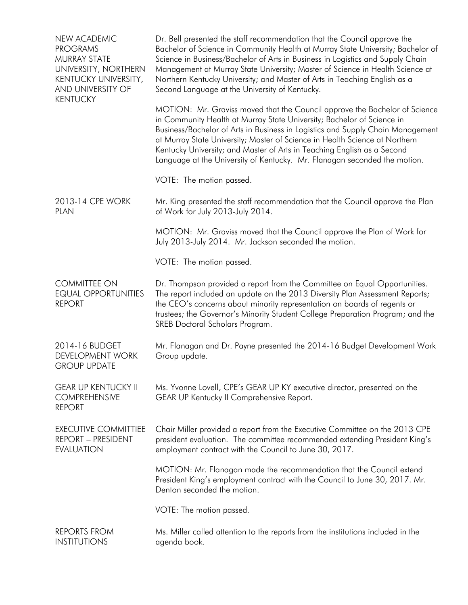| <b>NEW ACADEMIC</b><br><b>PROGRAMS</b><br><b>MURRAY STATE</b><br>UNIVERSITY, NORTHERN<br>KENTUCKY UNIVERSITY,<br>AND UNIVERSITY OF<br><b>KENTUCKY</b> | Dr. Bell presented the staff recommendation that the Council approve the<br>Bachelor of Science in Community Health at Murray State University; Bachelor of<br>Science in Business/Bachelor of Arts in Business in Logistics and Supply Chain<br>Management at Murray State University; Master of Science in Health Science at<br>Northern Kentucky University; and Master of Arts in Teaching English as a<br>Second Language at the University of Kentucky.<br>MOTION: Mr. Graviss moved that the Council approve the Bachelor of Science |
|-------------------------------------------------------------------------------------------------------------------------------------------------------|---------------------------------------------------------------------------------------------------------------------------------------------------------------------------------------------------------------------------------------------------------------------------------------------------------------------------------------------------------------------------------------------------------------------------------------------------------------------------------------------------------------------------------------------|
|                                                                                                                                                       | in Community Health at Murray State University; Bachelor of Science in<br>Business/Bachelor of Arts in Business in Logistics and Supply Chain Management<br>at Murray State University; Master of Science in Health Science at Northern<br>Kentucky University; and Master of Arts in Teaching English as a Second<br>Language at the University of Kentucky. Mr. Flanagan seconded the motion.                                                                                                                                             |
|                                                                                                                                                       | VOTE: The motion passed.                                                                                                                                                                                                                                                                                                                                                                                                                                                                                                                    |
| 2013-14 CPE WORK<br><b>PLAN</b>                                                                                                                       | Mr. King presented the staff recommendation that the Council approve the Plan<br>of Work for July 2013-July 2014.                                                                                                                                                                                                                                                                                                                                                                                                                           |
|                                                                                                                                                       | MOTION: Mr. Graviss moved that the Council approve the Plan of Work for<br>July 2013-July 2014. Mr. Jackson seconded the motion.                                                                                                                                                                                                                                                                                                                                                                                                            |
|                                                                                                                                                       | VOTE: The motion passed.                                                                                                                                                                                                                                                                                                                                                                                                                                                                                                                    |
| <b>COMMITTEE ON</b><br><b>EQUAL OPPORTUNITIES</b><br><b>REPORT</b>                                                                                    | Dr. Thompson provided a report from the Committee on Equal Opportunities.<br>The report included an update on the 2013 Diversity Plan Assessment Reports;<br>the CEO's concerns about minority representation on boards of regents or<br>trustees; the Governor's Minority Student College Preparation Program; and the<br>SREB Doctoral Scholars Program.                                                                                                                                                                                  |
| 2014-16 BUDGET<br><b>DEVELOPMENT WORK</b><br><b>GROUP UPDATE</b>                                                                                      | Mr. Flanagan and Dr. Payne presented the 2014-16 Budget Development Work<br>Group update.                                                                                                                                                                                                                                                                                                                                                                                                                                                   |
| <b>GEAR UP KENTUCKY II</b><br><b>COMPREHENSIVE</b><br><b>REPORT</b>                                                                                   | Ms. Yvonne Lovell, CPE's GEAR UP KY executive director, presented on the<br>GEAR UP Kentucky II Comprehensive Report.                                                                                                                                                                                                                                                                                                                                                                                                                       |
| <b>EXECUTIVE COMMITTIEE</b><br><b>REPORT - PRESIDENT</b><br><b>EVALUATION</b>                                                                         | Chair Miller provided a report from the Executive Committee on the 2013 CPE<br>president evaluation. The committee recommended extending President King's<br>employment contract with the Council to June 30, 2017.                                                                                                                                                                                                                                                                                                                         |
|                                                                                                                                                       | MOTION: Mr. Flanagan made the recommendation that the Council extend<br>President King's employment contract with the Council to June 30, 2017. Mr.<br>Denton seconded the motion.                                                                                                                                                                                                                                                                                                                                                          |
|                                                                                                                                                       | VOTE: The motion passed.                                                                                                                                                                                                                                                                                                                                                                                                                                                                                                                    |
| <b>REPORTS FROM</b><br><b>INSTITUTIONS</b>                                                                                                            | Ms. Miller called attention to the reports from the institutions included in the<br>agenda book.                                                                                                                                                                                                                                                                                                                                                                                                                                            |